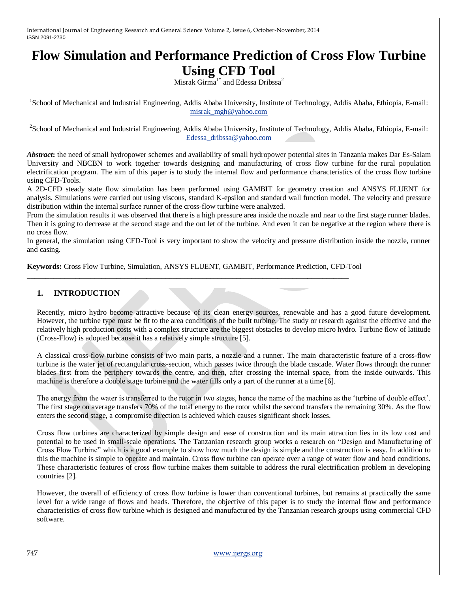# **Flow Simulation and Performance Prediction of Cross Flow Turbine Using CFD Tool**

Misrak Girma<sup>1\*</sup> and Edessa Dribssa<sup>2</sup>

<sup>1</sup>School of Mechanical and Industrial Engineering, Addis Ababa University, Institute of Technology, Addis Ababa, Ethiopia, E-mail: [misrak\\_mgh@yahoo.com](mailto:misrak_mgh@yahoo.com)

<sup>2</sup> School of Mechanical and Industrial Engineering, Addis Ababa University, Institute of Technology, Addis Ababa, Ethiopia, E-mail: [Edessa\\_dribssa@yahoo.com](mailto:Edessa_dribssa@yahoo.com)

*Abstract***:** the need of small hydropower schemes and availability of small hydropower potential sites in Tanzania makes Dar Es-Salam University and NBCBN to work together towards designing and manufacturing of cross flow turbine for the rural population electrification program. The aim of this paper is to study the internal flow and performance characteristics of the cross flow turbine using CFD-Tools.

A 2D-CFD steady state flow simulation has been performed using GAMBIT for geometry creation and ANSYS FLUENT for analysis. Simulations were carried out using viscous, standard K-epsilon and standard wall function model. The velocity and pressure distribution within the internal surface runner of the cross-flow turbine were analyzed.

From the simulation results it was observed that there is a high pressure area inside the nozzle and near to the first stage runner blades. Then it is going to decrease at the second stage and the out let of the turbine. And even it can be negative at the region where there is no cross flow.

In general, the simulation using CFD-Tool is very important to show the velocity and pressure distribution inside the nozzle, runner and casing.

**Keywords:** Cross Flow Turbine, Simulation, ANSYS FLUENT, GAMBIT, Performance Prediction, CFD-Tool

**\_\_\_\_\_\_\_\_\_\_\_\_\_\_\_\_\_\_\_\_\_\_\_\_\_\_\_\_\_\_\_\_\_\_\_\_\_\_\_\_\_\_\_\_\_\_\_\_\_\_\_\_\_\_\_\_\_\_\_\_\_\_\_\_\_\_\_\_\_\_\_\_\_\_\_\_\_\_\_\_\_\_\_\_\_\_**

## **1. INTRODUCTION**

Recently, micro hydro become attractive because of its clean energy sources, renewable and has a good future development. However, the turbine type must be fit to the area conditions of the built turbine. The study or research against the effective and the relatively high production costs with a complex structure are the biggest obstacles to develop micro hydro. Turbine flow of latitude (Cross-Flow) is adopted because it has a relatively simple structure [5].

A classical cross-flow turbine consists of two main parts, a nozzle and a runner. The main characteristic feature of a cross-flow turbine is the water jet of rectangular cross-section, which passes twice through the blade cascade. Water flows through the runner blades first from the periphery towards the centre, and then, after crossing the internal space, from the inside outwards. This machine is therefore a double stage turbine and the water fills only a part of the runner at a time [6].

The energy from the water is transferred to the rotor in two stages, hence the name of the machine as the "turbine of double effect". The first stage on average transfers 70% of the total energy to the rotor whilst the second transfers the remaining 30%. As the flow enters the second stage, a compromise direction is achieved which causes significant shock losses.

Cross flow turbines are characterized by simple design and ease of construction and its main attraction lies in its low cost and potential to be used in small-scale operations. The Tanzanian research group works a research on "Design and Manufacturing of Cross Flow Turbine" which is a good example to show how much the design is simple and the construction is easy. In addition to this the machine is simple to operate and maintain. Cross flow turbine can operate over a range of water flow and head conditions. These characteristic features of cross flow turbine makes them suitable to address the rural electrification problem in developing countries [2].

However, the overall of efficiency of cross flow turbine is lower than conventional turbines, but remains at practically the same level for a wide range of flows and heads. Therefore, the objective of this paper is to study the internal flow and performance characteristics of cross flow turbine which is designed and manufactured by the Tanzanian research groups using commercial CFD software.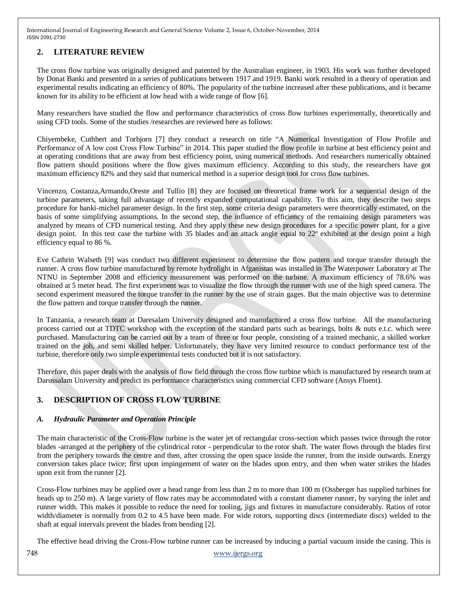# **2. LITERATURE REVIEW**

The cross flow turbine was originally designed and patented by the Australian engineer, in 1903. His work was further developed by Donat Banki and presented in a series of publications between 1917 and 1919. Banki work resulted in a theory of operation and experimental results indicating an efficiency of 80%. The popularity of the turbine increased after these publications, and it became known for its ability to be efficient at low head with a wide range of flow [6].

Many researchers have studied the flow and performance characteristics of cross flow turbines experimentally, theoretically and using CFD tools. Some of the studies /researches are reviewed here as follows:

Chiyembeke, Cuthbert and Torbjorn [7] they conduct a research on title "A Numerical Investigation of Flow Profile and Performance of A low cost Cross Flow Turbine" in 2014. This paper studied the flow profile in turbine at best efficiency point and at operating conditions that are away from best efficiency point, using numerical methods. And researchers numerically obtained flow pattern should positions where the flow gives maximum efficiency. According to this study, the researchers have got maximum efficiency 82% and they said that numerical method is a superior design tool for cross flow turbines.

Vincenzo, Costanza,Armando,Oreste and Tullio [8] they are focused on theoretical frame work for a sequential design of the turbine parameters, taking full advantage of recently expanded computational capability. To this aim, they describe two steps procedure for banki-michel parameter design. In the first step, some criteria design parameters were theoretically estimated, on the basis of some simplifying assumptions. In the second step, the influence of efficiency of the remaining design parameters was analyzed by means of CFD numerical testing. And they apply these new design procedures for a specific power plant, for a give design point. In this test case the turbine with 35 blades and an attack angle equal to 22º exhibited at the design point a high efficiency equal to 86 %.

Eve Cathrin Walseth [9] was conduct two different experiment to determine the flow pattern and torque transfer through the runner. A cross flow turbine manufactured by remote hydrolight in Afganistan was installed in The Waterpower Laboratory at The NTNU in September 2008 and efficiency measurement was performed on the turbine. A maximum efficiency of 78.6% was obtained at 5 meter head. The first experiment was to visualize the flow through the runner with use of the high speed camera. The second experiment measured the torque transfer to the runner by the use of strain gages. But the main objective was to determine the flow pattern and torque transfer through the runner.

In Tanzania, a research team at Daresalam University designed and manufactured a cross flow turbine. All the manufacturing process carried out at TDTC workshop with the exception of the standard parts such as bearings, bolts & nuts e.t.c. which were purchased. Manufacturing can be carried out by a team of three or four people, consisting of a trained mechanic, a skilled worker trained on the job, and semi skilled helper. Unfortunately, they have very limited resource to conduct performance test of the turbine, therefore only two simple experimental tests conducted but it is not satisfactory.

Therefore, this paper deals with the analysis of flow field through the cross flow turbine which is manufactured by research team at Darussalam University and predict its performance characteristics using commercial CFD software (Ansys Fluent).

# **3. DESCRIPTION OF CROSS FLOW TURBINE**

## *A. Hydraulic Parameter and Operation Principle*

The main characteristic of the Cross-Flow turbine is the water jet of rectangular cross-section which passes twice through the rotor blades -arranged at the periphery of the cylindrical rotor - perpendicular to the rotor shaft. The water flows through the blades first from the periphery towards the centre and then, after crossing the open space inside the runner, from the inside outwards. Energy conversion takes place twice; first upon impingement of water on the blades upon entry, and then when water strikes the blades upon exit from the runner [2].

Cross-Flow turbines may be applied over a head range from less than 2 m to more than 100 m (Ossberger has supplied turbines for heads up to 250 m). A large variety of flow rates may be accommodated with a constant diameter runner, by varying the inlet and runner width. This makes it possible to reduce the need for tooling, jigs and fixtures in manufacture considerably. Ratios of rotor width/diameter is normally from 0.2 to 4.5 have been made. For wide rotors, supporting discs (intermediate discs) welded to the shaft at equal intervals prevent the blades from bending [2].

The effective head driving the Cross-Flow turbine runner can be increased by inducing a partial vacuum inside the casing. This is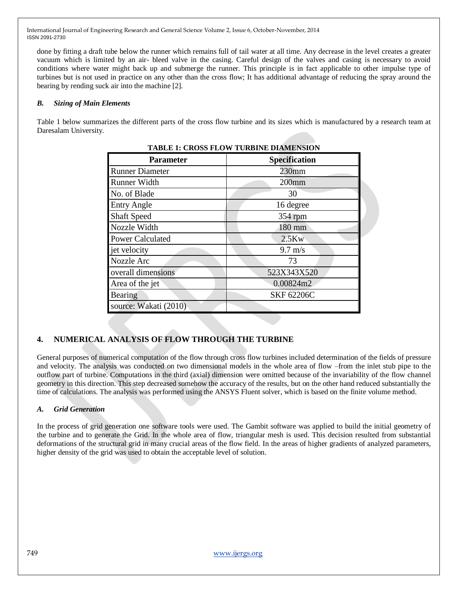done by fitting a draft tube below the runner which remains full of tail water at all time. Any decrease in the level creates a greater vacuum which is limited by an air- bleed valve in the casing. Careful design of the valves and casing is necessary to avoid conditions where water might back up and submerge the runner. This principle is in fact applicable to other impulse type of turbines but is not used in practice on any other than the cross flow; It has additional advantage of reducing the spray around the bearing by rending suck air into the machine [2].

#### *B. Sizing of Main Elements*

Table 1 below summarizes the different parts of the cross flow turbine and its sizes which is manufactured by a research team at Daresalam University.

| TADLE I: CROSS FLOW TURBINE DIAMENSION |                      |
|----------------------------------------|----------------------|
| <b>Parameter</b>                       | <b>Specification</b> |
| <b>Runner Diameter</b>                 | 230mm                |
| Runner Width                           | $200$ mm             |
| No. of Blade                           | 30                   |
| <b>Entry Angle</b>                     | 16 degree            |
| <b>Shaft Speed</b>                     | 354 rpm              |
| Nozzle Width                           | 180 mm               |
| <b>Power Calculated</b>                | 2.5Kw                |
| jet velocity                           | $9.7 \text{ m/s}$    |
| Nozzle Arc                             | 73                   |
| overall dimensions                     | 523X343X520          |
| Area of the jet                        | 0.00824m2            |
| Bearing                                | <b>SKF 62206C</b>    |
| source: Wakati (2010)                  |                      |

# **TABLE 1: CROSS FLOW TURBINE DIAMENSION**

# **4. NUMERICAL ANALYSIS OF FLOW THROUGH THE TURBINE**

General purposes of numerical computation of the flow through cross flow turbines included determination of the fields of pressure and velocity. The analysis was conducted on two dimensional models in the whole area of flow –from the inlet stub pipe to the outflow part of turbine. Computations in the third (axial) dimension were omitted because of the invariability of the flow channel geometry in this direction. This step decreased somehow the accuracy of the results, but on the other hand reduced substantially the time of calculations. The analysis was performed using the ANSYS Fluent solver, which is based on the finite volume method.

## *A. Grid Generation*

In the process of grid generation one software tools were used. The Gambit software was applied to build the initial geometry of the turbine and to generate the Grid. In the whole area of flow, triangular mesh is used. This decision resulted from substantial deformations of the structural grid in many crucial areas of the flow field. In the areas of higher gradients of analyzed parameters, higher density of the grid was used to obtain the acceptable level of solution.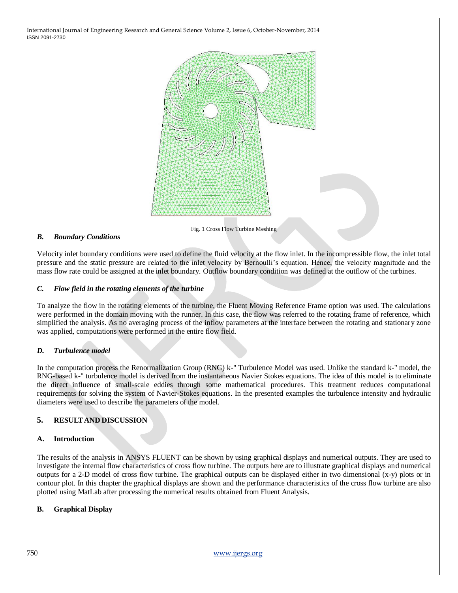

Fig. 1 Cross Flow Turbine Meshing

#### *B. Boundary Conditions*

Velocity inlet boundary conditions were used to define the fluid velocity at the flow inlet. In the incompressible flow, the inlet total pressure and the static pressure are related to the inlet velocity by Bernoulli"s equation. Hence, the velocity magnitude and the mass flow rate could be assigned at the inlet boundary. Outflow boundary condition was defined at the outflow of the turbines.

#### *C. Flow field in the rotating elements of the turbine*

To analyze the flow in the rotating elements of the turbine, the Fluent Moving Reference Frame option was used. The calculations were performed in the domain moving with the runner. In this case, the flow was referred to the rotating frame of reference, which simplified the analysis. As no averaging process of the inflow parameters at the interface between the rotating and stationary zone was applied, computations were performed in the entire flow field.

#### *D. Turbulence model*

In the computation process the Renormalization Group (RNG) k-" Turbulence Model was used. Unlike the standard k-" model, the RNG-based k-" turbulence model is derived from the instantaneous Navier Stokes equations. The idea of this model is to eliminate the direct influence of small-scale eddies through some mathematical procedures. This treatment reduces computational requirements for solving the system of Navier-Stokes equations. In the presented examples the turbulence intensity and hydraulic diameters were used to describe the parameters of the model.

#### **5. RESULTAND DISCUSSION**

#### **A. Introduction**

The results of the analysis in ANSYS FLUENT can be shown by using graphical displays and numerical outputs. They are used to investigate the internal flow characteristics of cross flow turbine. The outputs here are to illustrate graphical displays and numerical outputs for a 2-D model of cross flow turbine. The graphical outputs can be displayed either in two dimensional (x-y) plots or in contour plot. In this chapter the graphical displays are shown and the performance characteristics of the cross flow turbine are also plotted using MatLab after processing the numerical results obtained from Fluent Analysis.

#### **B. Graphical Display**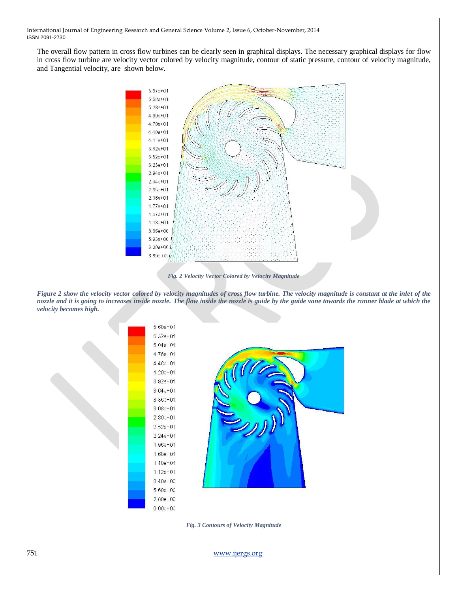The overall flow pattern in cross flow turbines can be clearly seen in graphical displays. The necessary graphical displays for flow in cross flow turbine are velocity vector colored by velocity magnitude, contour of static pressure, contour of velocity magnitude, and Tangential velocity, are shown below.



*Fig. 2 Velocity Vector Colored by Velocity Magnitude*

*Figure 2 show the velocity vector colored by velocity magnitudes of cross flow turbine. The velocity magnitude is constant at the inlet of the nozzle and it is going to increases inside nozzle. The flow inside the nozzle is guide by the guide vane towards the runner blade at which the velocity becomes high.* 



*Fig. 3 Contours of Velocity Magnitude*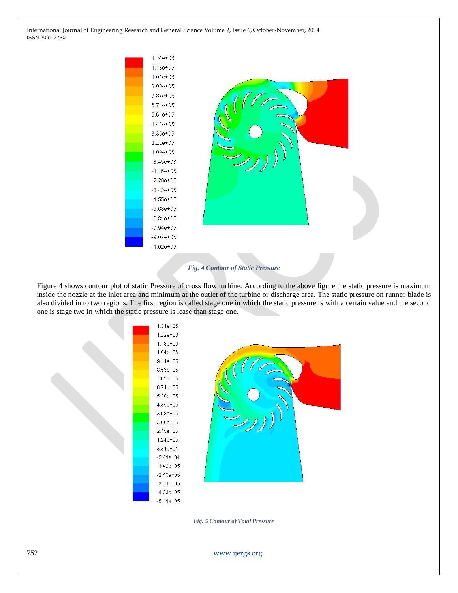

#### *Fig. 4 Contour of Static Pressure*

Figure 4 shows contour plot of static Pressure of cross flow turbine. According to the above figure the static pressure is maximum inside the nozzle at the inlet area and minimum at the outlet of the turbine or discharge area. The static pressure on runner blade is also divided in to two regions. The first region is called stage one in which the static pressure is with a certain value and the second one is stage two in which the static pressure is lease than stage one.



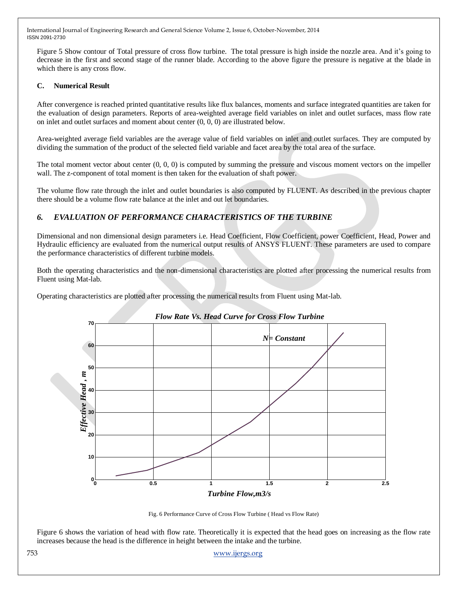Figure 5 Show contour of Total pressure of cross flow turbine. The total pressure is high inside the nozzle area. And it's going to decrease in the first and second stage of the runner blade. According to the above figure the pressure is negative at the blade in which there is any cross flow.

#### **C. Numerical Result**

After convergence is reached printed quantitative results like flux balances, moments and surface integrated quantities are taken for the evaluation of design parameters. Reports of area-weighted average field variables on inlet and outlet surfaces, mass flow rate on inlet and outlet surfaces and moment about center (0, 0, 0) are illustrated below.

Area-weighted average field variables are the average value of field variables on inlet and outlet surfaces. They are computed by dividing the summation of the product of the selected field variable and facet area by the total area of the surface.

The total moment vector about center  $(0, 0, 0)$  is computed by summing the pressure and viscous moment vectors on the impeller wall. The z-component of total moment is then taken for the evaluation of shaft power.

The volume flow rate through the inlet and outlet boundaries is also computed by FLUENT. As described in the previous chapter there should be a volume flow rate balance at the inlet and out let boundaries.

# *6. EVALUATION OF PERFORMANCE CHARACTERISTICS OF THE TURBINE*

Dimensional and non dimensional design parameters i.e. Head Coefficient, Flow Coefficient, power Coefficient, Head, Power and Hydraulic efficiency are evaluated from the numerical output results of ANSYS FLUENT. These parameters are used to compare the performance characteristics of different turbine models.

Both the operating characteristics and the non-dimensional characteristics are plotted after processing the numerical results from Fluent using Mat-lab.

Operating characteristics are plotted after processing the numerical results from Fluent using Mat-lab.



#### *Flow Rate Vs. Head Curve for Cross Flow Turbine*

Fig. 6 Performance Curve of Cross Flow Turbine ( Head vs Flow Rate)

Figure 6 shows the variation of head with flow rate. Theoretically it is expected that the head goes on increasing as the flow rate increases because the head is the difference in height between the intake and the turbine.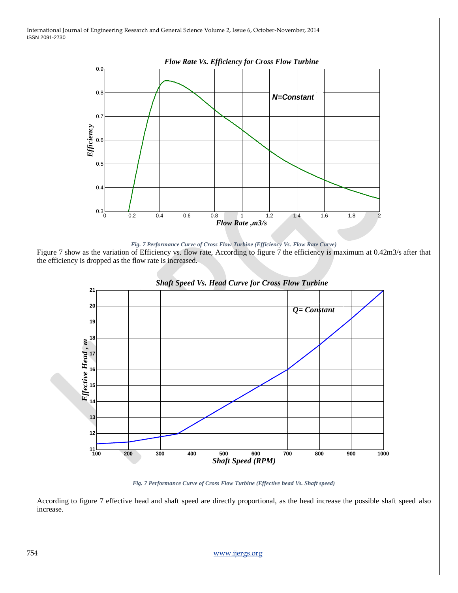



Figure 7 show as the variation of Efficiency vs. flow rate, According to figure 7 the efficiency is maximum at 0.42m3/s after that the efficiency is dropped as the flow rate is increased.





According to figure 7 effective head and shaft speed are directly proportional, as the head increase the possible shaft speed also increase.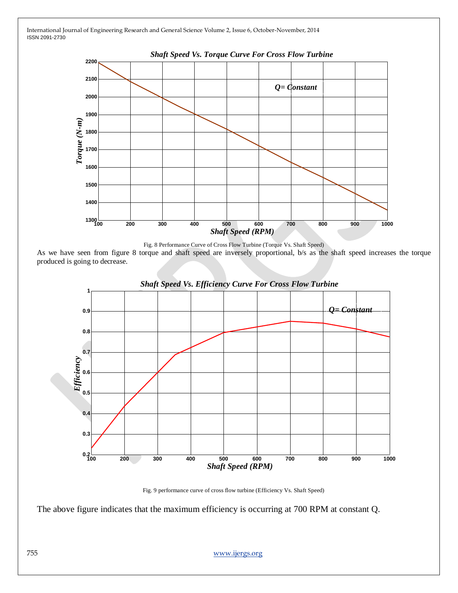

Fig. 8 Performance Curve of Cross Flow Turbine (Torque Vs. Shaft Speed)

As we have seen from figure 8 torque and shaft speed are inversely proportional, b/s as the shaft speed increases the torque produced is going to decrease.



Fig. 9 performance curve of cross flow turbine (Efficiency Vs. Shaft Speed)

The above figure indicates that the maximum efficiency is occurring at 700 RPM at constant Q.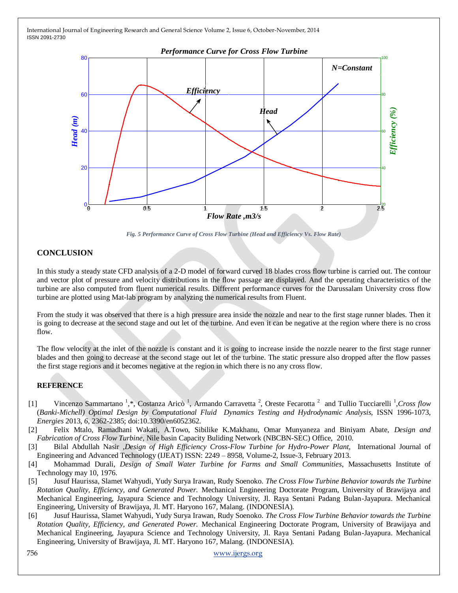

*Fig. 5 Performance Curve of Cross Flow Turbine (Head and Efficiency Vs. Flow Rate)*

# **CONCLUSION**

In this study a steady state CFD analysis of a 2-D model of forward curved 18 blades cross flow turbine is carried out. The contour and vector plot of pressure and velocity distributions in the flow passage are displayed. And the operating characteristics of the turbine are also computed from fluent numerical results. Different performance curves for the Darussalam University cross flow turbine are plotted using Mat-lab program by analyzing the numerical results from Fluent.

From the study it was observed that there is a high pressure area inside the nozzle and near to the first stage runner blades. Then it is going to decrease at the second stage and out let of the turbine. And even it can be negative at the region where there is no cross flow.

The flow velocity at the inlet of the nozzle is constant and it is going to increase inside the nozzle nearer to the first stage runner blades and then going to decrease at the second stage out let of the turbine. The static pressure also dropped after the flow passes the first stage regions and it becomes negative at the region in which there is no any cross flow.

## **REFERENCE**

- [1] Vincenzo Sammartano<sup>1</sup>,\*, Costanza Aricò<sup>1</sup>, Armando Carravetta<sup>2</sup>, Oreste Fecarotta<sup>2</sup> and Tullio Tucciarelli<sup>1</sup>, Cross flow (*Banki-Michell) Optimal Design by Computational Fluid Dynamics Testing and Hydrodynamic Analysis,* ISSN 1996-1073, *Energies* 2013, *6*, 2362-2385; doi:10.3390/en6052362.
- [2] Felix Mtalo, Ramadhani Wakati, A.Towo, Sibilike K.Makhanu, Omar Munyaneza and Biniyam Abate, *Design and Fabrication of Cross Flow Turbine*, Nile basin Capacity Buliding Network (NBCBN-SEC) Office, 2010.
- [3] Bilal Abdullah Nasir ,*Design of High Efficiency Cross-Flow Turbine for Hydro-Power Plant,* International Journal of Engineering and Advanced Technology (IJEAT) ISSN: 2249 – 8958, Volume-2, Issue-3, February 2013.
- [4] Mohammad Durali, *Design of Small Water Turbine for Farms and Small Communities*, Massachusetts Institute of Technology may 10, 1976.
- [5] Jusuf Haurissa, Slamet Wahyudi, Yudy Surya Irawan, Rudy Soenoko. *The Cross Flow Turbine Behavior towards the Turbine Rotation Quality, Efficiency, and Generated Power.* Mechanical Engineering Doctorate Program, University of Brawijaya and Mechanical Engineering, Jayapura Science and Technology University, Jl. Raya Sentani Padang Bulan-Jayapura. Mechanical Engineering, University of Brawijaya, Jl. MT. Haryono 167, Malang. (INDONESIA).
- [6] Jusuf Haurissa, Slamet Wahyudi, Yudy Surya Irawan, Rudy Soenoko. *The Cross Flow Turbine Behavior towards the Turbine Rotation Quality, Efficiency, and Generated Power.* Mechanical Engineering Doctorate Program, University of Brawijaya and Mechanical Engineering, Jayapura Science and Technology University, Jl. Raya Sentani Padang Bulan-Jayapura. Mechanical Engineering, University of Brawijaya, Jl. MT. Haryono 167, Malang. (INDONESIA).